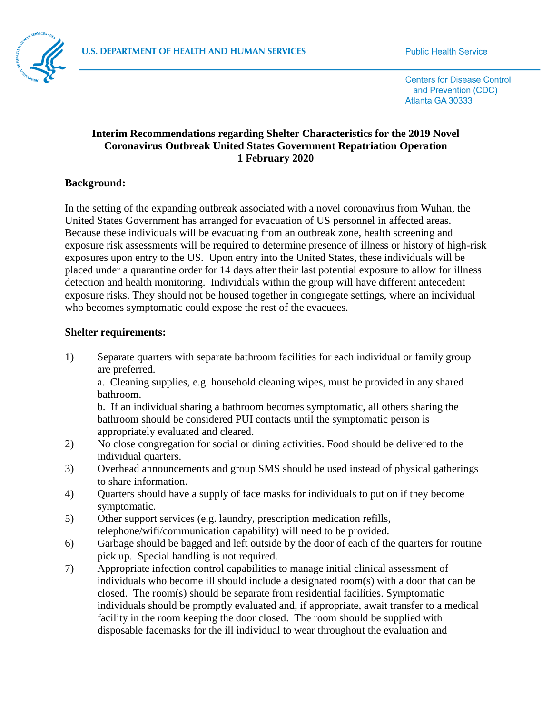

**Centers for Disease Control** and Prevention (CDC) Atlanta GA 30333

## **Interim Recommendations regarding Shelter Characteristics for the 2019 Novel Coronavirus Outbreak United States Government Repatriation Operation 1 February 2020**

## **Background:**

In the setting of the expanding outbreak associated with a novel coronavirus from Wuhan, the United States Government has arranged for evacuation of US personnel in affected areas. Because these individuals will be evacuating from an outbreak zone, health screening and exposure risk assessments will be required to determine presence of illness or history of high-risk exposures upon entry to the US. Upon entry into the United States, these individuals will be placed under a quarantine order for 14 days after their last potential exposure to allow for illness detection and health monitoring. Individuals within the group will have different antecedent exposure risks. They should not be housed together in congregate settings, where an individual who becomes symptomatic could expose the rest of the evacuees.

## **Shelter requirements:**

1) Separate quarters with separate bathroom facilities for each individual or family group are preferred.

a. Cleaning supplies, e.g. household cleaning wipes, must be provided in any shared bathroom.

b. If an individual sharing a bathroom becomes symptomatic, all others sharing the bathroom should be considered PUI contacts until the symptomatic person is appropriately evaluated and cleared.

- 2) No close congregation for social or dining activities. Food should be delivered to the individual quarters.
- 3) Overhead announcements and group SMS should be used instead of physical gatherings to share information.
- 4) Quarters should have a supply of face masks for individuals to put on if they become symptomatic.
- 5) Other support services (e.g. laundry, prescription medication refills, telephone/wifi/communication capability) will need to be provided.
- 6) Garbage should be bagged and left outside by the door of each of the quarters for routine pick up. Special handling is not required.
- 7) Appropriate infection control capabilities to manage initial clinical assessment of individuals who become ill should include a designated room(s) with a door that can be closed. The room(s) should be separate from residential facilities. Symptomatic individuals should be promptly evaluated and, if appropriate, await transfer to a medical facility in the room keeping the door closed. The room should be supplied with disposable facemasks for the ill individual to wear throughout the evaluation and